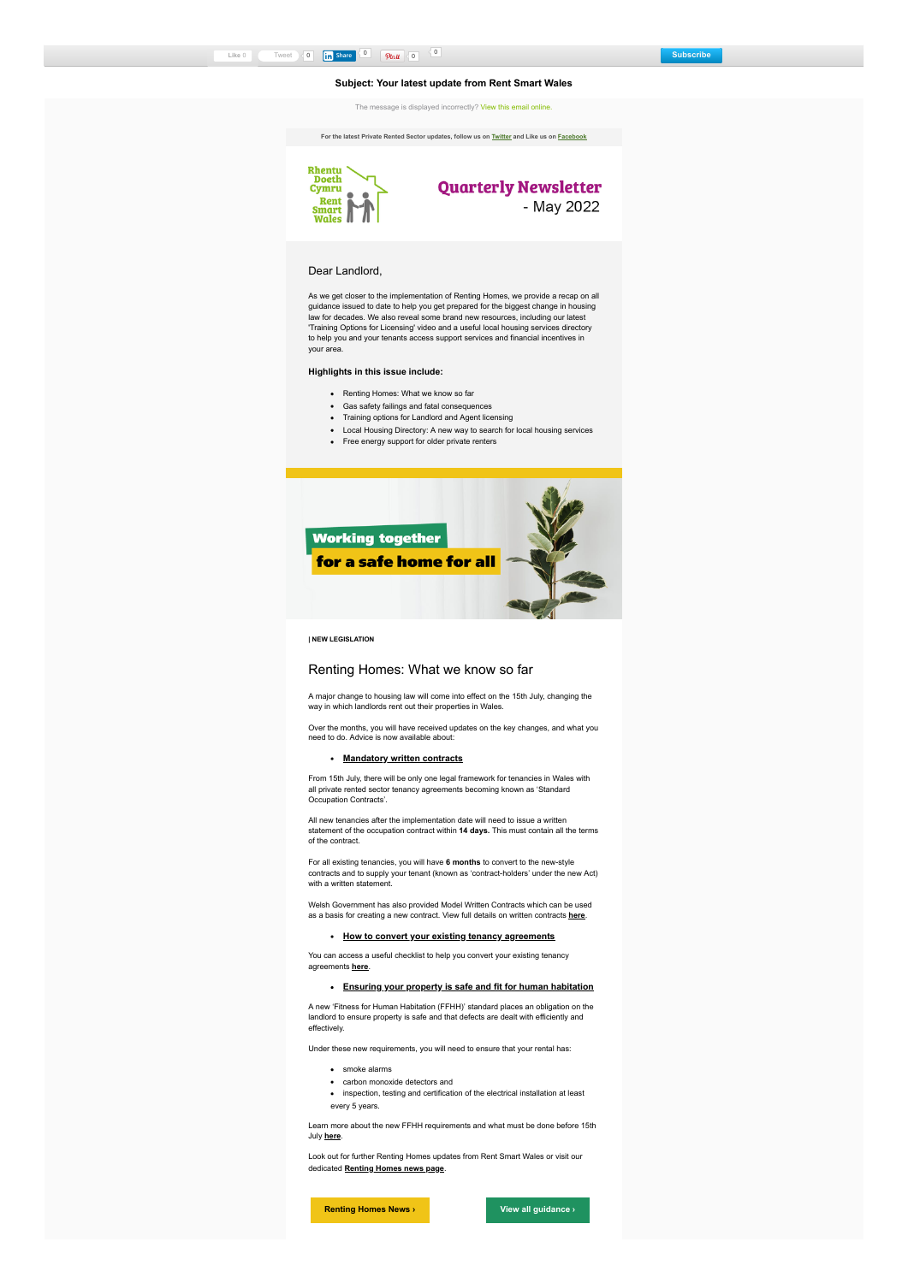

# **Quarterly Newsletter** - May 2022

# Dear Landlord,

As we get closer to the implementation of Renting Homes, we provide a recap on all guidance issued to date to help you get prepared for the biggest change in housing law for decades. We also reveal some brand new resources, including our latest 'Training Options for Licensing' video and a useful local housing services directory to help you and your tenants access support services and financial incentives in<br>vour area your are

### **Highlights in this issue include:**

- Renting Homes: What we know so far
- Gas safety failings and fatal consequences  $\bullet$
- Training options for Landlord and Agent licensing  $\ddot{\phantom{0}}$
- Local Housing Directory: A new way to search for local housing services
- Free energy support for older private renters



#### **| NEW LEGISLATION**

# Renting Homes: What we know so far

A major change to housing law will come into effect on the 15th July, changing the way in which landlords rent out their properties in Wales.

Over the months, you will have received updates on the key changes, and what you need to do. Advice is now available about:

### **[Mandatory written contracts](https://rentsmart.gov.wales/en/news/78/renting-homes-new-tenancy-agreements-are-coming/)**

From 15th July, there will be only one legal framework for tenancies in Wales with ed sector tenancy agreements becoming known as 'Standard Occupation Contracts'.

All new tenancies after the implementation date will need to issue a written statement of the occupation contract within **14 days.** This must contain all the terms of the contract.

For all existing tenancies, you will have **6 months** to convert to the new-style contracts and to supply your tenant (known as 'contract-holders' under the new Act) with a written statement.

Welsh Government has also provided Model Written Contracts which can be used as a basis for creating a new contract. View full details on written contracts **[here](https://gov.wales/renting-homes-housing-law-changing)**.

### **[How to convert your existing tenancy agreements](https://rentsmart.gov.wales/en/news/74/renting-homes-coverting-your-tenancy-agreements/)**

You can access a useful checklist to help you convert your existing tenancy agreements **[here](https://rentsmart.gov.wales/en/news/74/renting-homes-coverting-your-tenancy-agreements/)**.

### **[Ensuring your property is safe and fit for human habitation](https://rentsmart.gov.wales/en/news/75/renting-homes-fitness-for-human-habitation-guidance/)**

A new 'Fitness for Human Habitation (FFHH)' standard places an obligation on the landlord to ensure property is safe and that defects are dealt with efficiently and effectively.

Under these new requirements, you will need to ensure that your rental has:

- smoke alarms
- carbon monoxide detectors and .
- inspection, testing and certification of the electrical installation at least every 5 years.

rn more about the new FFHH requirements and what must be done before 15th July **[here](https://rentsmart.gov.wales/en/news/75/renting-homes-fitness-for-human-habitation-guidance/)**.

Look out for further Renting Homes updates from Rent Smart Wales or visit our dedicated **[Renting Homes news page](https://rentsmart.gov.wales/en/news/)**.

**[Renting Homes News ›](https://rentsmart.gov.wales/en/news/) [View all guidance ›](https://gov.wales/housing-law-changing-renting-homes)**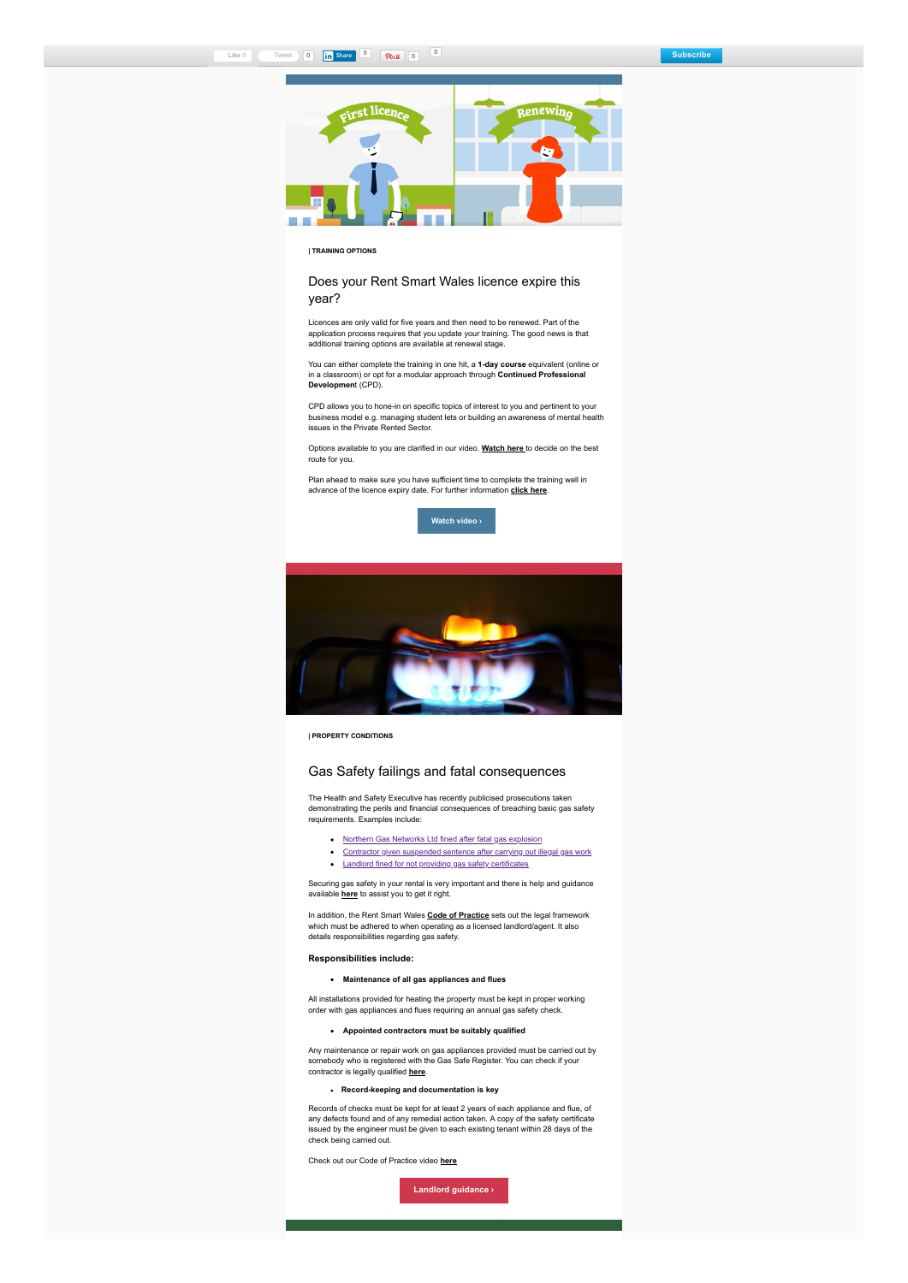

### **| TRAINING OPTIONS**

# Does your Rent Smart Wales licence expire this year?

Licences are only valid for five years and then need to be renewed. Part of the application process requires that you update your training. The good news is that additional training options are available at renewal stage.

You can either complete the training in one hit, a **1-day course** equivalent (online or in a classroom) or opt for a modular approach through **Continued Professional Developmen**t (CPD).

CPD allows you to hone-in on specific topics of interest to you and pertinent to your business model e.g. managing student lets or building an awareness of mental health issues in the Private Rented Sector.

Options available to you are clarified in our video. [Watch here](https://youtu.be/4wKwUyW9hl4) to decide on the be route for you.

Plan ahead to make sure you have sufficient time to complete the training well in advance of the licence expiry date. For further information **[click here](https://rentsmart.gov.wales/en/courses/)**.

**[Watch video ›](https://youtu.be/4wKwUyW9hl4)**



**| PROPERTY CONDITIONS**

### Gas Safety failings and fatal consequences

The Health and Safety Executive has recently publicised prosecutions taken demonstrating the perils and financial consequences of breaching basic gas safety requirements. Examples include:

- [Northern Gas Networks Ltd fined after fatal gas explosion](https://press.hse.gov.uk/2022/02/09/northern-gas-networks-ltd-fined-after-fatal-gas-explosion/)
- Ĭ. [Contractor given suspended sentence after carrying out illegal gas work](https://press.hse.gov.uk/2022/01/26/contractor-fined-after-carrying-out-illegal-gas-work/)
- [Landlord fined for not providing gas safety certificates](https://press.hse.gov.uk/2022/02/01/landlord-fined-for-not-providing-gas-safety-certificates/)

Securing gas safety in your rental is very important and there is help and guidance available **[here](https://www.gassaferegister.co.uk/gas-safety/renting-a-property/landlord-gas-responsibilities/)** to assist you to get it right.

In addition, the Rent Smart Wales **[Code of Practice](https://rentsmart.gov.wales/Uploads/Downloads/00/00/00/01/DownloadFileEN_FILE/Code-of-practice-for-Landlords-and-Agents-licensed-under-Part-1-of-the-Housing-Wales-Act-2014-English-Doc-1.pdf)** sets out the legal framework which must be adhered to when operating as a licensed landlord/agent. It also details responsibilities regarding gas safety.

### **Responsibilities include:**

### **Maintenance of all gas appliances and flues**

All installations provided for heating the property must be kept in proper working order with gas appliances and flues requiring an annual gas safety check.

### **Appointed contractors must be suitably quality**

Any maintenance or repair work on gas appliances provided must be carried out by ebody who is registered with the Gas Safe Register. You can check if your contractor is legally qualified **[here](https://www.gassaferegister.co.uk/)**.

### **Record-keeping and documentation is key**

Records of checks must be kept for at least 2 years of each appliance and flue, of any defects found and of any remedial action taken. A copy of the safety certificate ued by the engineer must be given to each existing tenant within 28 days of the check being carried out.

Check out our Code of Practice video **[here](https://www.youtube.com/watch?v=ym-W_yXFIuo)**